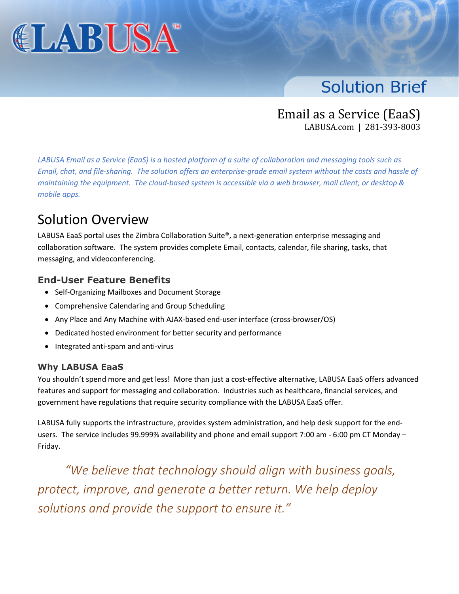

# **Solution Brief**

Email as a Service (EaaS) LABUSA.com | 281-393-8003

*LABUSA Email as a Service (EaaS) is a hosted platform of a suite of collaboration and messaging tools such as Email, chat, and file-sharing. The solution offers an enterprise-grade email system without the costs and hassle of maintaining the equipment. The cloud-based system is accessible via a web browser, mail client, or desktop & mobile apps.*

# Solution Overview

LABUSA EaaS portal uses the Zimbra Collaboration Suite®, a next-generation enterprise messaging and collaboration software. The system provides complete Email, contacts, calendar, file sharing, tasks, chat messaging, and videoconferencing.

### **End-User Feature Benefits**

- Self-Organizing Mailboxes and Document Storage
- Comprehensive Calendaring and Group Scheduling
- Any Place and Any Machine with AJAX-based end-user interface (cross-browser/OS)
- Dedicated hosted environment for better security and performance
- Integrated anti-spam and anti-virus

#### **Why LABUSA EaaS**

You shouldn't spend more and get less! More than just a cost-effective alternative, LABUSA EaaS offers advanced features and support for messaging and collaboration. Industries such as healthcare, financial services, and government have regulations that require security compliance with the LABUSA EaaS offer.

LABUSA fully supports the infrastructure, provides system administration, and help desk support for the endusers. The service includes 99.999% availability and phone and email support 7:00 am - 6:00 pm CT Monday – Friday.

*"We believe that technology should align with business goals, protect, improve, and generate a better return. We help deploy solutions and provide the support to ensure it."*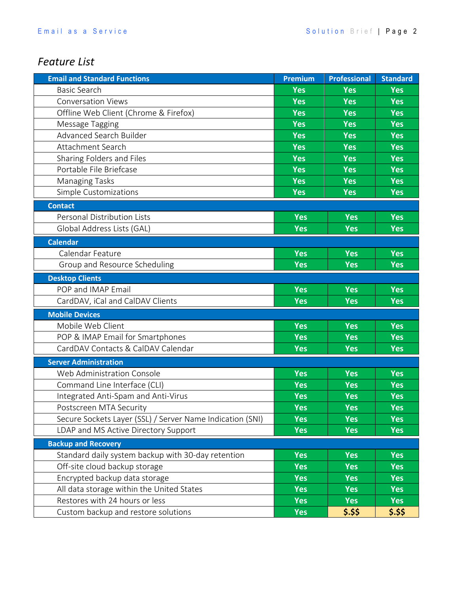### *Feature List*

| <b>Email and Standard Functions</b>                       | <b>Premium</b> | <b>Professional</b> | <b>Standard</b> |
|-----------------------------------------------------------|----------------|---------------------|-----------------|
| <b>Basic Search</b>                                       | <b>Yes</b>     | <b>Yes</b>          | <b>Yes</b>      |
| <b>Conversation Views</b>                                 | <b>Yes</b>     | <b>Yes</b>          | <b>Yes</b>      |
| Offline Web Client (Chrome & Firefox)                     | <b>Yes</b>     | <b>Yes</b>          | <b>Yes</b>      |
| Message Tagging                                           | <b>Yes</b>     | <b>Yes</b>          | <b>Yes</b>      |
| Advanced Search Builder                                   | <b>Yes</b>     | <b>Yes</b>          | <b>Yes</b>      |
| Attachment Search                                         | <b>Yes</b>     | <b>Yes</b>          | <b>Yes</b>      |
| Sharing Folders and Files                                 | <b>Yes</b>     | <b>Yes</b>          | <b>Yes</b>      |
| Portable File Briefcase                                   | <b>Yes</b>     | <b>Yes</b>          | <b>Yes</b>      |
| <b>Managing Tasks</b>                                     | <b>Yes</b>     | <b>Yes</b>          | <b>Yes</b>      |
| Simple Customizations                                     | <b>Yes</b>     | <b>Yes</b>          | <b>Yes</b>      |
| <b>Contact</b>                                            |                |                     |                 |
| <b>Personal Distribution Lists</b>                        | <b>Yes</b>     | <b>Yes</b>          | <b>Yes</b>      |
| Global Address Lists (GAL)                                | Yes            | <b>Yes</b>          | <b>Yes</b>      |
| <b>Calendar</b>                                           |                |                     |                 |
| Calendar Feature                                          | <b>Yes</b>     | <b>Yes</b>          | <b>Yes</b>      |
| Group and Resource Scheduling                             | <b>Yes</b>     | <b>Yes</b>          | <b>Yes</b>      |
| <b>Desktop Clients</b>                                    |                |                     |                 |
| POP and IMAP Email                                        | Yes            | <b>Yes</b>          | <b>Yes</b>      |
| CardDAV, iCal and CalDAV Clients                          | <b>Yes</b>     | <b>Yes</b>          | <b>Yes</b>      |
| <b>Mobile Devices</b>                                     |                |                     |                 |
| Mobile Web Client                                         | <b>Yes</b>     | <b>Yes</b>          | <b>Yes</b>      |
| POP & IMAP Email for Smartphones                          | <b>Yes</b>     | <b>Yes</b>          | <b>Yes</b>      |
| CardDAV Contacts & CalDAV Calendar                        | <b>Yes</b>     | <b>Yes</b>          | <b>Yes</b>      |
| <b>Server Administration</b>                              |                |                     |                 |
| Web Administration Console                                | <b>Yes</b>     | <b>Yes</b>          | <b>Yes</b>      |
| Command Line Interface (CLI)                              | <b>Yes</b>     | <b>Yes</b>          | <b>Yes</b>      |
| Integrated Anti-Spam and Anti-Virus                       | <b>Yes</b>     | <b>Yes</b>          | <b>Yes</b>      |
| Postscreen MTA Security                                   | <b>Yes</b>     | <b>Yes</b>          | <b>Yes</b>      |
| Secure Sockets Layer (SSL) / Server Name Indication (SNI) | Yes            | <b>Yes</b>          | <b>Yes</b>      |
| LDAP and MS Active Directory Support                      | <b>Yes</b>     | <b>Yes</b>          | <b>Yes</b>      |
| <b>Backup and Recovery</b>                                |                |                     |                 |
| Standard daily system backup with 30-day retention        | <b>Yes</b>     | <b>Yes</b>          | <b>Yes</b>      |
| Off-site cloud backup storage                             | Yes            | <b>Yes</b>          | <b>Yes</b>      |
| Encrypted backup data storage                             | <b>Yes</b>     | <b>Yes</b>          | <b>Yes</b>      |
| All data storage within the United States                 | <b>Yes</b>     | <b>Yes</b>          | <b>Yes</b>      |
| Restores with 24 hours or less                            | <b>Yes</b>     | <b>Yes</b>          | <b>Yes</b>      |
| Custom backup and restore solutions                       | <b>Yes</b>     | $$.$ \$\$           | \$.\$\$         |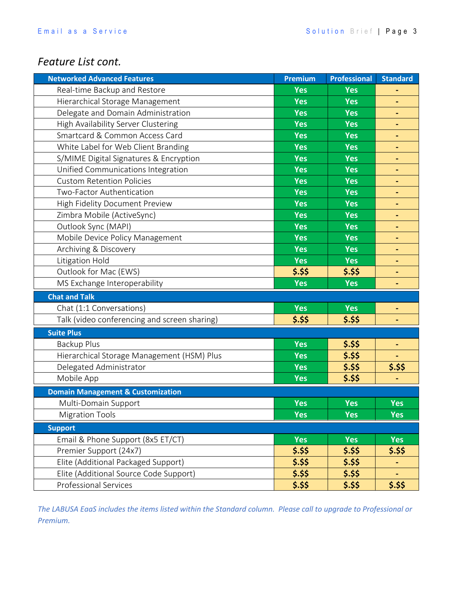### *Feature List cont.*

| <b>Networked Advanced Features</b>           | <b>Premium</b> | <b>Professional</b> | <b>Standard</b>              |
|----------------------------------------------|----------------|---------------------|------------------------------|
| Real-time Backup and Restore                 | Yes            | Yes                 | ٠                            |
| Hierarchical Storage Management              | Yes            | <b>Yes</b>          |                              |
| Delegate and Domain Administration           | <b>Yes</b>     | <b>Yes</b>          | ٠                            |
| <b>High Availability Server Clustering</b>   | <b>Yes</b>     | <b>Yes</b>          | $\qquad \qquad \blacksquare$ |
| Smartcard & Common Access Card               | <b>Yes</b>     | <b>Yes</b>          | $\blacksquare$               |
| White Label for Web Client Branding          | Yes            | <b>Yes</b>          | ٠                            |
| S/MIME Digital Signatures & Encryption       | Yes            | <b>Yes</b>          | $\blacksquare$               |
| Unified Communications Integration           | Yes            | <b>Yes</b>          | $\qquad \qquad \blacksquare$ |
| <b>Custom Retention Policies</b>             | <b>Yes</b>     | <b>Yes</b>          | ٠                            |
| Two-Factor Authentication                    | <b>Yes</b>     | <b>Yes</b>          | -                            |
| High Fidelity Document Preview               | <b>Yes</b>     | <b>Yes</b>          |                              |
| Zimbra Mobile (ActiveSync)                   | <b>Yes</b>     | <b>Yes</b>          | ٠                            |
| Outlook Sync (MAPI)                          | <b>Yes</b>     | <b>Yes</b>          | $\qquad \qquad \blacksquare$ |
| Mobile Device Policy Management              | <b>Yes</b>     | <b>Yes</b>          | ٠                            |
| Archiving & Discovery                        | <b>Yes</b>     | <b>Yes</b>          | ٠                            |
| Litigation Hold                              | <b>Yes</b>     | <b>Yes</b>          | $\blacksquare$               |
| Outlook for Mac (EWS)                        | $$.$ \$\$      | \$.\$\$             | $\qquad \qquad \blacksquare$ |
| MS Exchange Interoperability                 | <b>Yes</b>     | <b>Yes</b>          | $\qquad \qquad \blacksquare$ |
| <b>Chat and Talk</b>                         |                |                     |                              |
| Chat (1:1 Conversations)                     | <b>Yes</b>     | <b>Yes</b>          | ٠                            |
| Talk (video conferencing and screen sharing) | $$.$ \$\$      | \$.\$\$             | ٠                            |
| <b>Suite Plus</b>                            |                |                     |                              |
| <b>Backup Plus</b>                           | <b>Yes</b>     | \$.\$\$             | ۰                            |
| Hierarchical Storage Management (HSM) Plus   | Yes            | \$.\$\$             | ۰                            |
| Delegated Administrator                      | <b>Yes</b>     | \$.\$\$             | \$.\$\$                      |
| Mobile App                                   | Yes            | \$.\$\$             | $\blacksquare$               |
| <b>Domain Management &amp; Customization</b> |                |                     |                              |
| Multi-Domain Support                         | <b>Yes</b>     | Yes                 | <b>Yes</b>                   |
| <b>Migration Tools</b>                       | <b>Yes</b>     | <b>Yes</b>          | <b>Yes</b>                   |
| <b>Support</b>                               |                |                     |                              |
| Email & Phone Support (8x5 ET/CT)            | Yes            | <b>Yes</b>          | <b>Yes</b>                   |
| Premier Support (24x7)                       | \$.\$\$        | \$.\$\$             | \$.\$\$                      |
| Elite (Additional Packaged Support)          | \$.\$\$        | \$.\$\$             | ۰                            |
| Elite (Additional Source Code Support)       | \$.\$\$        | \$.\$\$             | ۰                            |
| <b>Professional Services</b>                 | $$.$ \$\$      | \$.\$\$             | \$.\$\$                      |

*The LABUSA EaaS includes the items listed within the Standard column. Please call to upgrade to Professional or Premium.*